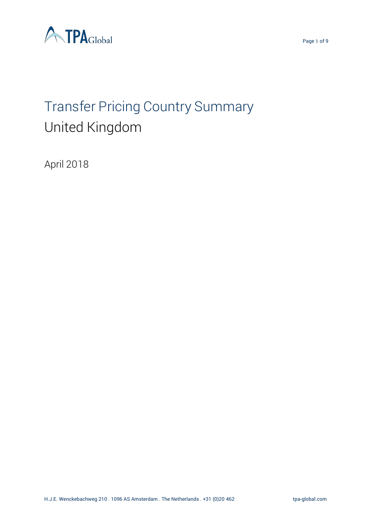



# Transfer Pricing Country Summary United Kingdom

April 2018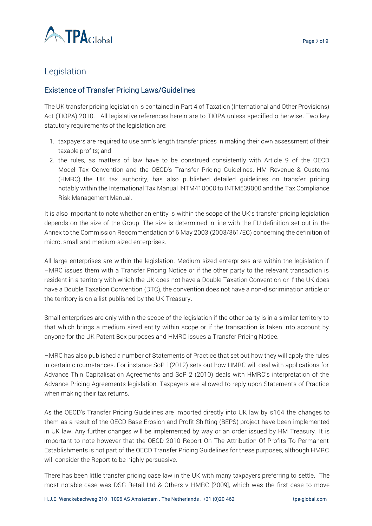

# Legislation

#### Existence of Transfer Pricing Laws/Guidelines

The UK transfer pricing legislation is contained in Part 4 of Taxation (International and Other Provisions) Act (TIOPA) 2010. All legislative references herein are to TIOPA unless specified otherwise. Two key statutory requirements of the legislation are:

- 1. taxpayers are required to use arm's length transfer prices in making their own assessment of their taxable profits; and
- 2. the rules, as matters of law have to be construed consistently with Article 9 of the OECD Model Tax Convention and the OECD's Transfer Pricing Guidelines. HM Revenue & Customs (HMRC), the UK tax authority, has also published detailed guidelines on transfer pricing notably within the International Tax Manual INTM410000 to INTM539000 and the Tax Compliance Risk Management Manual.

It is also important to note whether an entity is within the scope of the UK's transfer pricing legislation depends on the size of the Group. The size is determined in line with the EU definition set out in the Annex to the Commission Recommendation of 6 May 2003 (2003/361/EC) concerning the definition of micro, small and medium-sized enterprises.

All large enterprises are within the legislation. Medium sized enterprises are within the legislation if HMRC issues them with a Transfer Pricing Notice or if the other party to the relevant transaction is resident in a territory with which the UK does not have a Double Taxation Convention or if the UK does have a Double Taxation Convention (DTC), the convention does not have a non-discrimination article or the territory is on a list published by the UK Treasury.

Small enterprises are only within the scope of the legislation if the other party is in a similar territory to that which brings a medium sized entity within scope or if the transaction is taken into account by anyone for the UK Patent Box purposes and HMRC issues a Transfer Pricing Notice.

HMRC has also published a number of Statements of Practice that set out how they will apply the rules in certain circumstances. For instance SoP 1(2012) sets out how HMRC will deal with applications for Advance Thin Capitalisation Agreements and SoP 2 (2010) deals with HMRC's interpretation of the Advance Pricing Agreements legislation. Taxpayers are allowed to reply upon Statements of Practice when making their tax returns.

As the OECD's Transfer Pricing Guidelines are imported directly into UK law by s164 the changes to them as a result of the OECD Base Erosion and Profit Shifting (BEPS) project have been implemented in UK law. Any further changes will be implemented by way or an order issued by HM Treasury. It is important to note however that the OECD 2010 Report On The Attribution Of Profits To Permanent Establishments is not part of the OECD Transfer Pricing Guidelines for these purposes, although HMRC will consider the Report to be highly persuasive.

There has been little transfer pricing case law in the UK with many taxpayers preferring to settle. The most notable case was DSG Retail Ltd & Others v HMRC [2009], which was the first case to move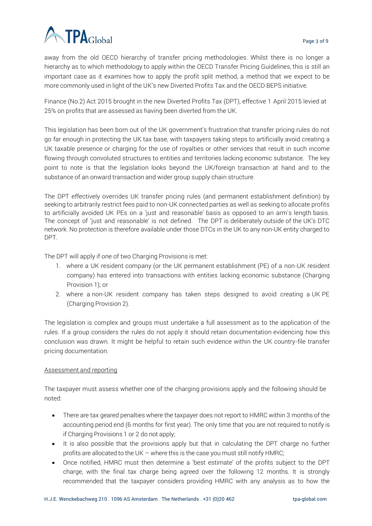

away from the old OECD hierarchy of transfer pricing methodologies. Whilst there is no longer a hierarchy as to which methodology to apply within the OECD Transfer Pricing Guidelines, this is still an important case as it examines how to apply the profit split method, a method that we expect to be more commonly used in light of the UK's new Diverted Profits Tax and the OECD BEPS initiative.

Finance (No.2) Act 2015 brought in the new Diverted Profits Tax (DPT), effective 1 April 2015 levied at 25% on profits that are assessed as having been diverted from the UK.

This legislation has been born out of the UK government's frustration that transfer pricing rules do not go far enough in protecting the UK tax base, with taxpayers taking steps to artificially avoid creating a UK taxable presence or charging for the use of royalties or other services that result in such income flowing through convoluted structures to entities and territories lacking economic substance. The key point to note is that the legislation looks beyond the UK/foreign transaction at hand and to the substance of an onward transaction and wider group supply chain structure.

The DPT effectively overrides UK transfer pricing rules (and permanent establishment definition) by seeking to arbitrarily restrict fees paid to non-UK connected parties as well as seeking to allocate profits to artificially avoided UK PEs on a 'just and reasonable' basis as opposed to an arm's length basis. The concept of 'just and reasonable' is not defined. The DPT is deliberately outside of the UK's DTC network. No protection is therefore available under those DTCs in the UK to any non-UK entity charged to DPT.

The DPT will apply if one of two Charging Provisions is met:

- 1. where a UK resident company (or the UK permanent establishment (PE) of a non-UK resident company) has entered into transactions with entities lacking economic substance (Charging Provision 1); or
- 2. where a non-UK resident company has taken steps designed to avoid creating a UK PE (Charging Provision 2).

The legislation is complex and groups must undertake a full assessment as to the application of the rules. If a group considers the rules do not apply it should retain documentation evidencing how this conclusion was drawn. It might be helpful to retain such evidence within the UK country-file transfer pricing documentation.

#### Assessment and reporting

The taxpayer must assess whether one of the charging provisions apply and the following should be noted:

- There are tax geared penalties where the taxpayer does not report to HMRC within 3 months of the accounting period end (6 months for first year). The only time that you are not required to notify is if Charging Provisions 1 or 2 do not apply;
- It is also possible that the provisions apply but that in calculating the DPT charge no further profits are allocated to the UK – where this is the case you must still notify HMRC;
- Once notified, HMRC must then determine a 'best estimate' of the profits subject to the DPT charge, with the final tax charge being agreed over the following 12 months. It is strongly recommended that the taxpayer considers providing HMRC with any analysis as to how the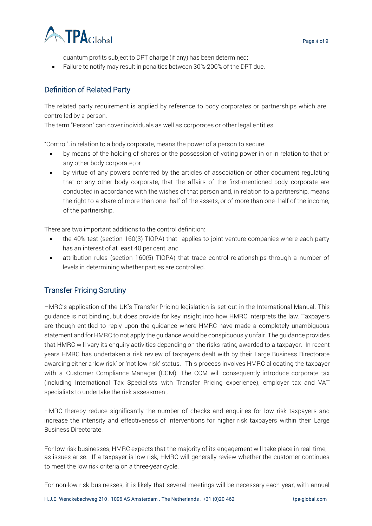

quantum profits subject to DPT charge (if any) has been determined;

• Failure to notify may result in penalties between 30%-200% of the DPT due.

#### Definition of Related Party

The related party requirement is applied by reference to body corporates or partnerships which are controlled by a person.

The term "Person" can cover individuals as well as corporates or other legal entities.

"Control", in relation to a body corporate, means the power of a person to secure:

- by means of the holding of shares or the possession of voting power in or in relation to that or any other body corporate; or
- by virtue of any powers conferred by the articles of association or other document regulating that or any other body corporate, that the affairs of the first-mentioned body corporate are conducted in accordance with the wishes of that person and, in relation to a partnership, means the right to a share of more than one- half of the assets, or of more than one- half of the income, of the partnership.

There are two important additions to the control definition:

- the 40% test (section 160(3) TIOPA) that applies to joint venture companies where each party has an interest of at least 40 per cent; and
- attribution rules (section 160(5) TIOPA) that trace control relationships through a number of levels in determining whether parties are controlled.

#### Transfer Pricing Scrutiny

HMRC's application of the UK's Transfer Pricing legislation is set out in the International Manual. This guidance is not binding, but does provide for key insight into how HMRC interprets the law. Taxpayers are though entitled to reply upon the guidance where HMRC have made a completely unambiguous statement and for HMRC to not apply the guidance would be conspicuously unfair. The guidance provides that HMRC will vary its enquiry activities depending on the risks rating awarded to a taxpayer. In recent years HMRC has undertaken a risk review of taxpayers dealt with by their Large Business Directorate awarding either a 'low risk' or 'not low risk' status. This process involves HMRC allocating the taxpayer with a Customer Compliance Manager (CCM). The CCM will consequently introduce corporate tax (including International Tax Specialists with Transfer Pricing experience), employer tax and VAT specialists to undertake the risk assessment.

HMRC thereby reduce significantly the number of checks and enquiries for low risk taxpayers and increase the intensity and effectiveness of interventions for higher risk taxpayers within their Large Business Directorate.

For low risk businesses, HMRC expects that the majority of its engagement will take place in real-time, as issues arise. If a taxpayer is low risk, HMRC will generally review whether the customer continues to meet the low risk criteria on a three-year cycle.

For non-low risk businesses, it is likely that several meetings will be necessary each year, with annual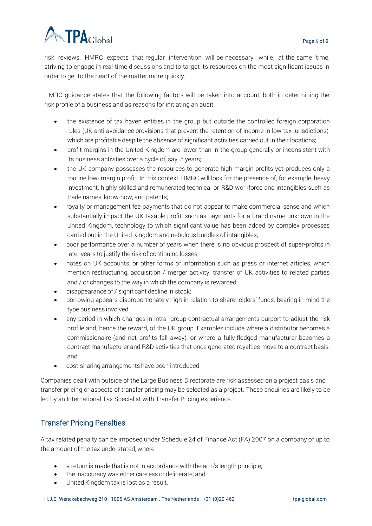# TPAGlobal

risk reviews. HMRC expects that regular intervention will be necessary, while, at the same time, striving to engage in real-time discussions and to target its resources on the most significant issues in order to get to the heart of the matter more quickly.

HMRC guidance states that the following factors will be taken into account, both in determining the risk profile of a business and as reasons for initiating an audit:

- the existence of tax haven entities in the group but outside the controlled foreign corporation rules (UK anti-avoidance provisions that prevent the retention of income in low tax jurisdictions), which are profitable despite the absence of significant activities carried out in their locations;
- profit margins in the United Kingdom are lower than in the group generally or inconsistent with its business activities over a cycle of, say, 5 years;
- the UK company possesses the resources to generate high-margin profits yet produces only a routine low- margin profit. In this context, HMRC will look for the presence of, for example, heavy investment, highly skilled and remunerated technical or R&D workforce and intangibles such as trade names, know-how, and patents;
- royalty or management fee payments that do not appear to make commercial sense and which substantially impact the UK taxable profit, such as payments for a brand name unknown in the United Kingdom, technology to which significant value has been added by complex processes carried out in the United Kingdom and nebulous bundles of intangibles;
- poor performance over a number of years when there is no obvious prospect of super-profits in later years to justify the risk of continuing losses;
- notes on UK accounts, or other forms of information such as press or internet articles, which mention restructuring, acquisition / merger activity; transfer of UK activities to related parties and / or changes to the way in which the company is rewarded;
- disappearance of / significant decline in stock;
- borrowing appears disproportionately high in relation to shareholders' funds, bearing in mind the type business involved;
- any period in which changes in intra- group contractual arrangements purport to adjust the risk profile and, hence the reward, of the UK group. Examples include where a distributor becomes a commissionaire (and net profits fall away), or where a fully-fledged manufacturer becomes a contract manufacturer and R&D activities that once generated royalties move to a contract basis; and
- cost-sharing arrangements have been introduced.

Companies dealt with outside of the Large Business Directorate are risk assessed on a project basis and transfer pricing or aspects of transfer pricing may be selected as a project. These enquiries are likely to be led by an International Tax Specialist with Transfer Pricing experience.

## Transfer Pricing Penalties

A tax related penalty can be imposed under Schedule 24 of Finance Act (FA) 2007 on a company of up to the amount of the tax understated, where:

- a return is made that is not in accordance with the arm's length principle;
- the inaccuracy was either careless or deliberate; and
- United Kingdom tax is lost as a result.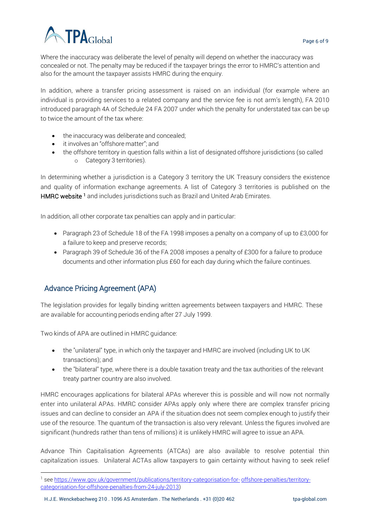

Where the inaccuracy was deliberate the level of penalty will depend on whether the inaccuracy was concealed or not. The penalty may be reduced if the taxpayer brings the error to HMRC's attention and also for the amount the taxpayer assists HMRC during the enquiry.

In addition, where a transfer pricing assessment is raised on an individual (for example where an individual is providing services to a related company and the service fee is not arm's length), FA 2010 introduced paragraph 4A of Schedule 24 FA 2007 under which the penalty for understated tax can be up to twice the amount of the tax where:

- the inaccuracy was deliberate and concealed;
- it involves an "offshore matter"; and
- the offshore territory in question falls within a list of designated offshore jurisdictions (so called o Category 3 territories).

In determining whether a jurisdiction is a Category 3 territory the UK Treasury considers the existence and quality of information exchange agreements. A list of Category 3 territories is published on the HMRC website<sup>1</sup> and includes jurisdictions such as Brazil and United Arab Emirates.

In addition, all other corporate tax penalties can apply and in particular:

- Paragraph 23 of Schedule 18 of the FA 1998 imposes a penalty on a company of up to £3,000 for a failure to keep and preserve records;
- Paragraph 39 of Schedule 36 of the FA 2008 imposes a penalty of £300 for a failure to produce documents and other information plus £60 for each day during which the failure continues.

#### Advance Pricing Agreement (APA)

l

The legislation provides for legally binding written agreements between taxpayers and HMRC. These are available for accounting periods ending after 27 July 1999.

Two kinds of APA are outlined in HMRC guidance:

- the "unilateral" type, in which only the taxpayer and HMRC are involved (including UK to UK transactions); and
- the "bilateral" type, where there is a double taxation treaty and the tax authorities of the relevant treaty partner country are also involved.

HMRC encourages applications for bilateral APAs wherever this is possible and will now not normally enter into unilateral APAs. HMRC consider APAs apply only where there are complex transfer pricing issues and can decline to consider an APA if the situation does not seem complex enough to justify their use of the resource. The quantum of the transaction is also very relevant. Unless the figures involved are significant (hundreds rather than tens of millions) it is unlikely HMRC will agree to issue an APA.

Advance Thin Capitalisation Agreements (ATCAs) are also available to resolve potential thin capitalization issues. Unilateral ACTAs allow taxpayers to gain certainty without having to seek relief

<sup>&</sup>lt;sup>1</sup> see [https://www.gov.uk/government/publications/territory-categorisation-for-](https://www.gov.uk/government/publications/territory-categorisation-for-offshore-penalties/territory-categorisation-for-offshore-penalties-from-24-july-2013) [offshore-penalties/territory](https://www.gov.uk/government/publications/territory-categorisation-for-offshore-penalties/territory-categorisation-for-offshore-penalties-from-24-july-2013)[categorisation-for-offshore-penalties-from-24-july-2013\)](https://www.gov.uk/government/publications/territory-categorisation-for-offshore-penalties/territory-categorisation-for-offshore-penalties-from-24-july-2013)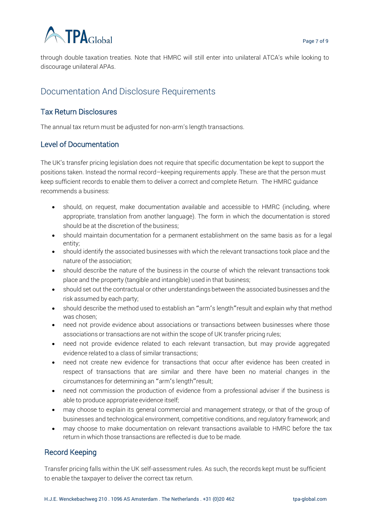

through double taxation treaties. Note that HMRC will still enter into unilateral ATCA's while looking to discourage unilateral APAs.

# Documentation And Disclosure Requirements

#### Tax Return Disclosures

The annual tax return must be adjusted for non-arm's length transactions.

#### Level of Documentation

The UK's transfer pricing legislation does not require that specific documentation be kept to support the positions taken. Instead the normal record–keeping requirements apply. These are that the person must keep sufficient records to enable them to deliver a correct and complete Return. The HMRC guidance recommends a business:

- should, on request, make documentation available and accessible to HMRC (including, where appropriate, translation from another language). The form in which the documentation is stored should be at the discretion of the business;
- should maintain documentation for a permanent establishment on the same basis as for a legal entity;
- should identify the associated businesses with which the relevant transactions took place and the nature of the association;
- should describe the nature of the business in the course of which the relevant transactions took place and the property (tangible and intangible) used in that business;
- should set out the contractual or other understandings between the associated businesses and the risk assumed by each party;
- should describe the method used to establish an "arm'<sup>s</sup> length"result and explain why that method was chosen;
- need not provide evidence about associations or transactions between businesses where those associations or transactions are not within the scope of UK transfer pricing rules;
- need not provide evidence related to each relevant transaction, but may provide aggregated evidence related to a class of similar transactions;
- need not create new evidence for transactions that occur after evidence has been created in respect of transactions that are similar and there have been no material changes in the circumstances for determining an "arm'<sup>s</sup> length"result;
- need not commission the production of evidence from a professional adviser if the business is able to produce appropriate evidence itself;
- may choose to explain its general commercial and management strategy, or that of the group of businesses and technological environment, competitive conditions, and regulatory framework; and
- may choose to make documentation on relevant transactions available to HMRC before the tax return in which those transactions are reflected is due to be made.

#### Record Keeping

Transfer pricing falls within the UK self-assessment rules. As such, the records kept must be sufficient to enable the taxpayer to deliver the correct tax return.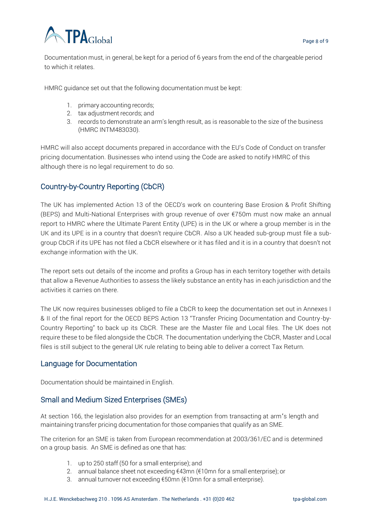

Documentation must, in general, be kept for a period of 6 years from the end of the chargeable period to which it relates.

HMRC guidance set out that the following documentation must be kept:

- 1. primary accounting records;
- 2. tax adjustment records; and
- 3. records to demonstrate an arm's length result, as is reasonable to the size of the business (HMRC INTM483030).

HMRC will also accept documents prepared in accordance with the EU's Code of Conduct on transfer pricing documentation. Businesses who intend using the Code are asked to notify HMRC of this although there is no legal requirement to do so.

#### Country-by-Country Reporting (CbCR)

The UK has implemented Action 13 of the OECD's work on countering Base Erosion & Profit Shifting (BEPS) and Multi-National Enterprises with group revenue of over €750m must now make an annual report to HMRC where the Ultimate Parent Entity (UPE) is in the UK or where a group member is in the UK and its UPE is in a country that doesn't require CbCR. Also a UK headed sub-group must file a subgroup CbCR if its UPE has not filed a CbCR elsewhere or it has filed and it is in a country that doesn't not exchange information with the UK.

The report sets out details of the income and profits a Group has in each territory together with details that allow a Revenue Authorities to assess the likely substance an entity has in each jurisdiction and the activities it carries on there.

The UK now requires businesses obliged to file a CbCR to keep the documentation set out in Annexes I & II of the final report for the OECD BEPS Action 13 "Transfer Pricing Documentation and Country -by-Country Reporting" to back up its CbCR. These are the Master file and Local files. The UK does not require these to be filed alongside the CbCR. The documentation underlying the CbCR, Master and Local files is still subject to the general UK rule relating to being able to deliver a correct Tax Return.

#### Language for Documentation

Documentation should be maintained in English.

#### Small and Medium Sized Enterprises (SMEs)

At section 166, the legislation also provides for an exemption from transacting at arm'<sup>s</sup> length and maintaining transfer pricing documentation for those companies that qualify as an SME.

The criterion for an SME is taken from European recommendation at 2003/361/EC and is determined on a group basis. An SME is defined as one that has:

- 1. up to 250 staff (50 for a small enterprise); and
- 2. annual balance sheet not exceeding  $\epsilon$ 43mn ( $\epsilon$ 10mn for a small enterprise); or
- 3. annual turnover not exceeding €50mn (€10mn for a small enterprise).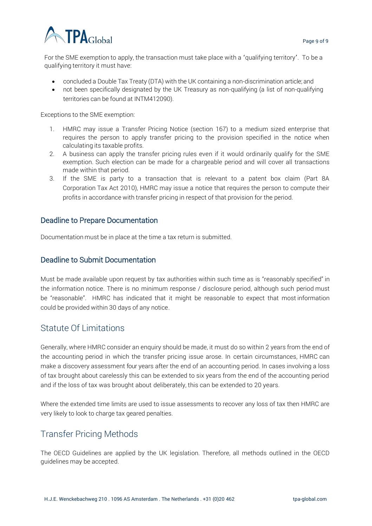

For the SME exemption to apply, the transaction must take place with <sup>a</sup> 'qualifying territory'. To be a qualifying territory it must have:

- concluded a Double Tax Treaty (DTA) with the UK containing a non-discrimination article; and
- not been specifically designated by the UK Treasury as non-qualifying (a list of non-qualifying territories can be found at INTM412090).

Exceptions to the SME exemption:

- 1. HMRC may issue a Transfer Pricing Notice (section 167) to a medium sized enterprise that requires the person to apply transfer pricing to the provision specified in the notice when calculating its taxable profits.
- 2. A business can apply the transfer pricing rules even if it would ordinarily qualify for the SME exemption. Such election can be made for a chargeable period and will cover all transactions made within that period.
- 3. If the SME is party to a transaction that is relevant to a patent box claim (Part 8A Corporation Tax Act 2010), HMRC may issue a notice that requires the person to compute their profits in accordance with transfer pricing in respect of that provision for the period.

#### Deadline to Prepare Documentation

Documentation must be in place at the time a tax return is submitted.

#### Deadline to Submit Documentation

Must be made available upon request by tax authorities within such time as is "reasonably specified" in the information notice. There is no minimum response / disclosure period, although such period must be "reasonable". HMRC has indicated that it might be reasonable to expect that most information could be provided within 30 days of any notice.

## Statute Of Limitations

Generally, where HMRC consider an enquiry should be made, it must do so within 2 years from the end of the accounting period in which the transfer pricing issue arose. In certain circumstances, HMRC can make a discovery assessment four years after the end of an accounting period. In cases involving a loss of tax brought about carelessly this can be extended to six years from the end of the accounting period and if the loss of tax was brought about deliberately, this can be extended to 20 years.

Where the extended time limits are used to issue assessments to recover any loss of tax then HMRC are very likely to look to charge tax geared penalties.

#### Transfer Pricing Methods

The OECD Guidelines are applied by the UK legislation. Therefore, all methods outlined in the OECD guidelines may be accepted.